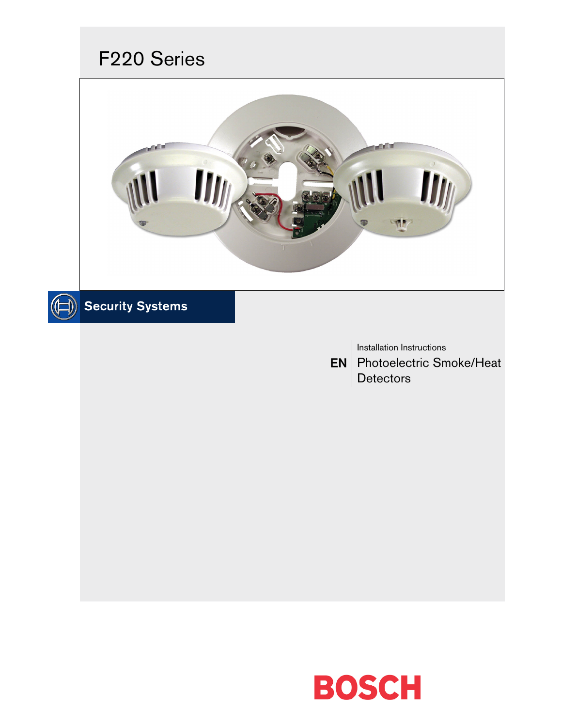# F220 Series



# $\textcircled{\textcircled{\textcircled{\textcirc}}}$  Security Systems

EN Photoelectric Smoke/Heat Installation Instructions Detectors

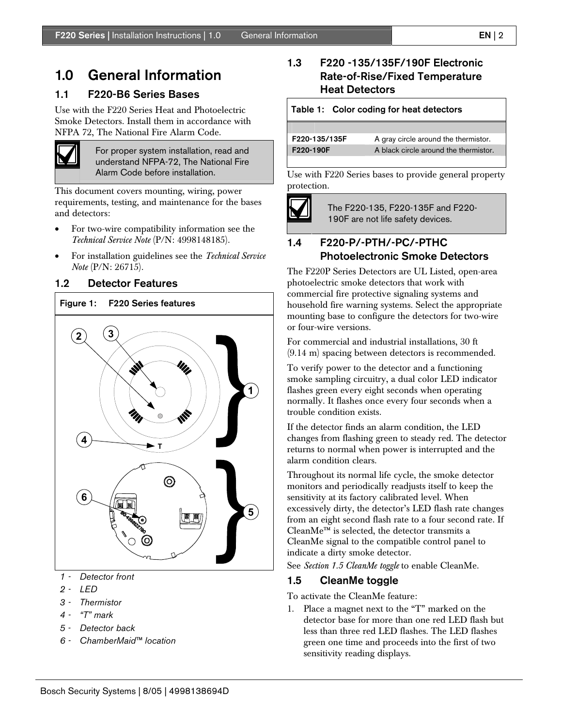## 1.0 General Information

#### 1.1 F220-B6 Series Bases

Use with the F220 Series Heat and Photoelectric Smoke Detectors. Install them in accordance with NFPA 72, The National Fire Alarm Code.



For proper system installation, read and understand NFPA-72, The National Fire Alarm Code before installation.

This document covers mounting, wiring, power requirements, testing, and maintenance for the bases and detectors:

- For two-wire compatibility information see the *Technical Service Note* (P/N: 4998148185).
- For installation guidelines see the *Technical Service Note* (P/N: 26715).

#### 1.2 Detector Features

#### Figure 1: F220 Series features



- *1 Detector front*
- *2 LED*
- *3 Thermistor*
- *4 "T" mark*
- *5 Detector back*
- *6 ChamberMaid™ location*

## 1.3 F220 -135/135F/190F Electronic Rate-of-Rise/Fixed Temperature Heat Detectors

| Table 1: Color coding for heat detectors |                                       |
|------------------------------------------|---------------------------------------|
|                                          |                                       |
| F220-135/135F                            | A gray circle around the thermistor.  |
| F220-190F                                | A black circle around the thermistor. |
|                                          |                                       |

Use with F220 Series bases to provide general property protection.



The F220-135, F220-135F and F220- 190F are not life safety devices.

## 1.4 F220-P/-PTH/-PC/-PTHC Photoelectronic Smoke Detectors

The F220P Series Detectors are UL Listed, open-area photoelectric smoke detectors that work with commercial fire protective signaling systems and household fire warning systems. Select the appropriate mounting base to configure the detectors for two-wire or four-wire versions.

For commercial and industrial installations, 30 ft (9.14 m) spacing between detectors is recommended.

To verify power to the detector and a functioning smoke sampling circuitry, a dual color LED indicator flashes green every eight seconds when operating normally. It flashes once every four seconds when a trouble condition exists.

If the detector finds an alarm condition, the LED changes from flashing green to steady red. The detector returns to normal when power is interrupted and the alarm condition clears.

Throughout its normal life cycle, the smoke detector monitors and periodically readjusts itself to keep the sensitivity at its factory calibrated level. When excessively dirty, the detector's LED flash rate changes from an eight second flash rate to a four second rate. If CleanMe™ is selected, the detector transmits a CleanMe signal to the compatible control panel to indicate a dirty smoke detector.

See *Section 1.5 CleanMe toggle* to enable CleanMe.

### 1.5 CleanMe toggle

To activate the CleanMe feature:

1. Place a magnet next to the "T" marked on the detector base for more than one red LED flash but less than three red LED flashes. The LED flashes green one time and proceeds into the first of two sensitivity reading displays.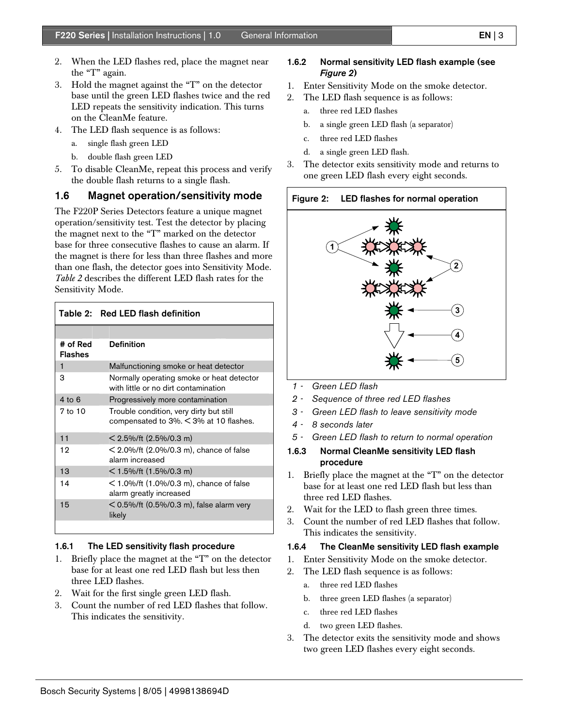- 2. When the LED flashes red, place the magnet near the "T" again.
- 3. Hold the magnet against the "T" on the detector base until the green LED flashes twice and the red LED repeats the sensitivity indication. This turns on the CleanMe feature.
- 4. The LED flash sequence is as follows:
	- a. single flash green LED
	- b. double flash green LED
- 5. To disable CleanMe, repeat this process and verify the double flash returns to a single flash.

### 1.6 Magnet operation/sensitivity mode

The F220P Series Detectors feature a unique magnet operation/sensitivity test. Test the detector by placing the magnet next to the "T" marked on the detector base for three consecutive flashes to cause an alarm. If the magnet is there for less than three flashes and more than one flash, the detector goes into Sensitivity Mode. *Table 2* describes the different LED flash rates for the Sensitivity Mode.

|                            | Table 2: Red LED flash definition                                                 |
|----------------------------|-----------------------------------------------------------------------------------|
|                            |                                                                                   |
| # of Red<br><b>Flashes</b> | <b>Definition</b>                                                                 |
| $\mathbf{1}$               | Malfunctioning smoke or heat detector                                             |
| 3                          | Normally operating smoke or heat detector<br>with little or no dirt contamination |
| $4$ to 6                   | Progressively more contamination                                                  |
| $7$ to $10$                | Trouble condition, very dirty but still<br>compensated to 3%. < 3% at 10 flashes. |
| 11                         | $<$ 2.5%/ft (2.5%/0.3 m)                                                          |
| 12                         | $<$ 2.0%/ft (2.0%/0.3 m), chance of false<br>alarm increased                      |
| 13                         | $<$ 1.5%/ft (1.5%/0.3 m)                                                          |
| 14                         | $<$ 1.0%/ft (1.0%/0.3 m), chance of false<br>alarm greatly increased              |
| 15                         | $<$ 0.5%/ft (0.5%/0.3 m), false alarm very<br>likely                              |
|                            |                                                                                   |

#### 1.6.1 The LED sensitivity flash procedure

- 1. Briefly place the magnet at the "T" on the detector base for at least one red LED flash but less then three LED flashes.
- 2. Wait for the first single green LED flash.
- 3. Count the number of red LED flashes that follow. This indicates the sensitivity.

#### 1.6.2 Normal sensitivity LED flash example (see *Figure 2*)

- 1. Enter Sensitivity Mode on the smoke detector.
- 2. The LED flash sequence is as follows:
	- a. three red LED flashes
	- b. a single green LED flash (a separator)
	- c. three red LED flashes
	- d. a single green LED flash.
- 3. The detector exits sensitivity mode and returns to one green LED flash every eight seconds.





- *1 Green LED flash*
- *2 Sequence of three red LED flashes*
- *3 Green LED flash to leave sensitivity mode*
- *4 8 seconds later*
- *5 Green LED flash to return to normal operation*
- 1.6.3 Normal CleanMe sensitivity LED flash procedure
- 1. Briefly place the magnet at the "T" on the detector base for at least one red LED flash but less than three red LED flashes.
- 2. Wait for the LED to flash green three times.
- 3. Count the number of red LED flashes that follow. This indicates the sensitivity.

#### 1.6.4 The CleanMe sensitivity LED flash example

- 1. Enter Sensitivity Mode on the smoke detector.
- 2. The LED flash sequence is as follows:
	- a. three red LED flashes
	- b. three green LED flashes (a separator)
	- c. three red LED flashes
	- d. two green LED flashes.
- 3. The detector exits the sensitivity mode and shows two green LED flashes every eight seconds.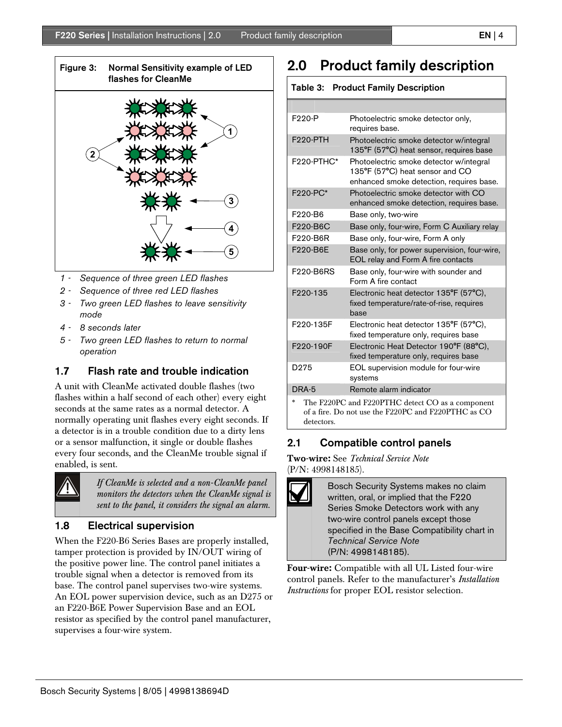

- *1 Sequence of three green LED flashes*
- *2 Sequence of three red LED flashes*
- *3 Two green LED flashes to leave sensitivity mode*
- *4 8 seconds later*
- *5 Two green LED flashes to return to normal operation*

## 1.7 Flash rate and trouble indication

A unit with CleanMe activated double flashes (two flashes within a half second of each other) every eight seconds at the same rates as a normal detector. A normally operating unit flashes every eight seconds. If a detector is in a trouble condition due to a dirty lens or a sensor malfunction, it single or double flashes every four seconds, and the CleanMe trouble signal if enabled, is sent.



*If CleanMe is selected and a non-CleanMe panel monitors the detectors when the CleanMe signal is sent to the panel, it considers the signal an alarm.*

### 1.8 Electrical supervision

When the F220-B6 Series Bases are properly installed, tamper protection is provided by IN/OUT wiring of the positive power line. The control panel initiates a trouble signal when a detector is removed from its base. The control panel supervises two-wire systems. An EOL power supervision device, such as an D275 or an F220-B6E Power Supervision Base and an EOL resistor as specified by the control panel manufacturer, supervises a four-wire system.

## 2.0 Product family description

| <b>Table 3: Product Family Description</b>                                                                                   |                                                                                                                        |
|------------------------------------------------------------------------------------------------------------------------------|------------------------------------------------------------------------------------------------------------------------|
|                                                                                                                              |                                                                                                                        |
| F <sub>200-</sub> P                                                                                                          | Photoelectric smoke detector only,<br>requires base.                                                                   |
| <b>F220-PTH</b>                                                                                                              | Photoelectric smoke detector w/integral<br>135°F (57°C) heat sensor, requires base                                     |
| F <sub>220</sub> -PTHC*                                                                                                      | Photoelectric smoke detector w/integral<br>135°F (57°C) heat sensor and CO<br>enhanced smoke detection, requires base. |
| F220-PC*                                                                                                                     | Photoelectric smoke detector with CO<br>enhanced smoke detection, requires base.                                       |
| F220-B6                                                                                                                      | Base only, two-wire                                                                                                    |
| F220-B6C                                                                                                                     | Base only, four-wire, Form C Auxiliary relay                                                                           |
| F220-B6R                                                                                                                     | Base only, four-wire, Form A only                                                                                      |
| F220-B6E                                                                                                                     | Base only, for power supervision, four-wire,<br>EOL relay and Form A fire contacts                                     |
| F220-B6RS                                                                                                                    | Base only, four-wire with sounder and<br>Form A fire contact                                                           |
| F <sub>200</sub> -135                                                                                                        | Electronic heat detector 135°F (57°C),<br>fixed temperature/rate-of-rise, requires<br>base                             |
| F220-135F                                                                                                                    | Electronic heat detector 135°F (57°C),<br>fixed temperature only, requires base                                        |
| F220-190F                                                                                                                    | Electronic Heat Detector 190°F (88°C),<br>fixed temperature only, requires base                                        |
| D <sub>275</sub>                                                                                                             | EOL supervision module for four-wire<br>systems                                                                        |
| DRA-5                                                                                                                        | Remote alarm indicator                                                                                                 |
| $*$<br>The F220PC and F220PTHC detect CO as a component<br>of a fire. Do not use the F220PC and F220PTHC as CO<br>detectors. |                                                                                                                        |

## 2.1 Compatible control panels

Two-wire: See *Technical Service Note* (P/N: 4998148185).

> Bosch Security Systems makes no claim written, oral, or implied that the F220 Series Smoke Detectors work with any two-wire control panels except those specified in the Base Compatibility chart in *Technical Service Note* (P/N: 4998148185).

Four-wire: Compatible with all UL Listed four-wire control panels. Refer to the manufacturer's *Installation Instructions* for proper EOL resistor selection.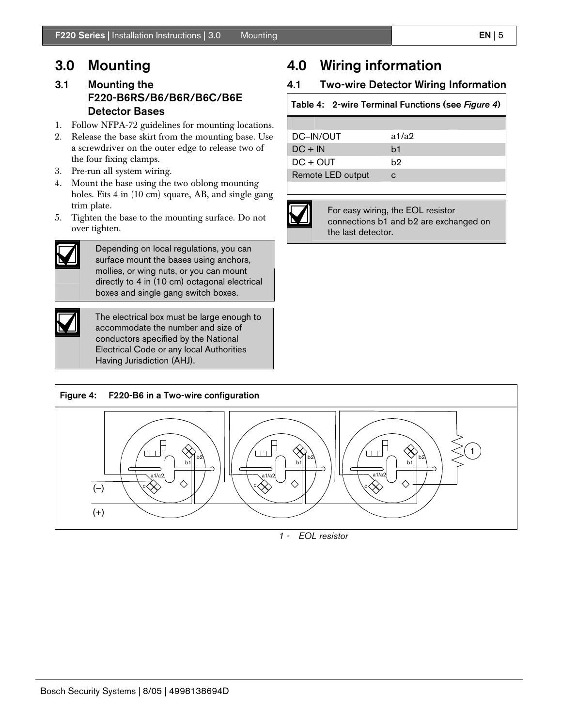## 3.1 Mounting the F220-B6RS/B6/B6R/B6C/B6E Detector Bases

- 1. Follow NFPA-72 guidelines for mounting locations.
- 2. Release the base skirt from the mounting base. Use a screwdriver on the outer edge to release two of the four fixing clamps.
- 3. Pre-run all system wiring.
- 4. Mount the base using the two oblong mounting holes. Fits 4 in (10 cm) square, AB, and single gang trim plate.
- 5. Tighten the base to the mounting surface. Do not over tighten.



Depending on local regulations, you can surface mount the bases using anchors, mollies, or wing nuts, or you can mount directly to 4 in (10 cm) octagonal electrical boxes and single gang switch boxes.



The electrical box must be large enough to accommodate the number and size of conductors specified by the National Electrical Code or any local Authorities Having Jurisdiction (AHJ).

## 4.0 Wiring information

## 4.1 Two-wire Detector Wiring Information

### Table 4: 2-wire Terminal Functions (see *Figure 4*)

| DC-IN/OUT         | a1/a2          |
|-------------------|----------------|
| $DC + IN$         | b <sub>1</sub> |
| $DC + OUT$        | b2             |
| Remote LED output |                |



For easy wiring, the EOL resistor connections b1 and b2 are exchanged on the last detector.



*1 - EOL resistor*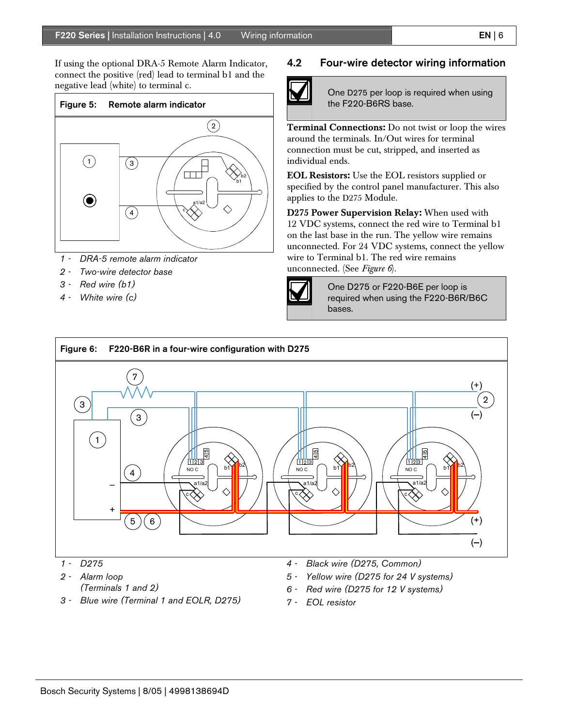If using the optional DRA-5 Remote Alarm Indicator, connect the positive (red) lead to terminal b1 and the negative lead (white) to terminal c.



- *1 DRA-5 remote alarm indicator*
- *2 Two-wire detector base*
- *3 Red wire (b1)*
- *4 White wire (c)*

#### 4.2 Four-wire detector wiring information



One D275 per loop is required when using the F220-B6RS base.

Terminal Connections: Do not twist or loop the wires around the terminals. In/Out wires for terminal connection must be cut, stripped, and inserted as individual ends.

EOL Resistors: Use the EOL resistors supplied or specified by the control panel manufacturer. This also applies to the D275 Module.

D275 Power Supervision Relay: When used with 12 VDC systems, connect the red wire to Terminal b1 on the last base in the run. The yellow wire remains unconnected. For 24 VDC systems, connect the yellow wire to Terminal b1. The red wire remains unconnected. (See *Figure 6*).



One D275 or F220-B6E per loop is required when using the F220-B6R/B6C bases.



- *2 Alarm loop* 
	- *(Terminals 1 and 2)*
- *3 Blue wire (Terminal 1 and EOLR, D275)*
- *4 Black wire (D275, Common)*
- *5 Yellow wire (D275 for 24 V systems)*
- *6 Red wire (D275 for 12 V systems)*
- *7 EOL resistor*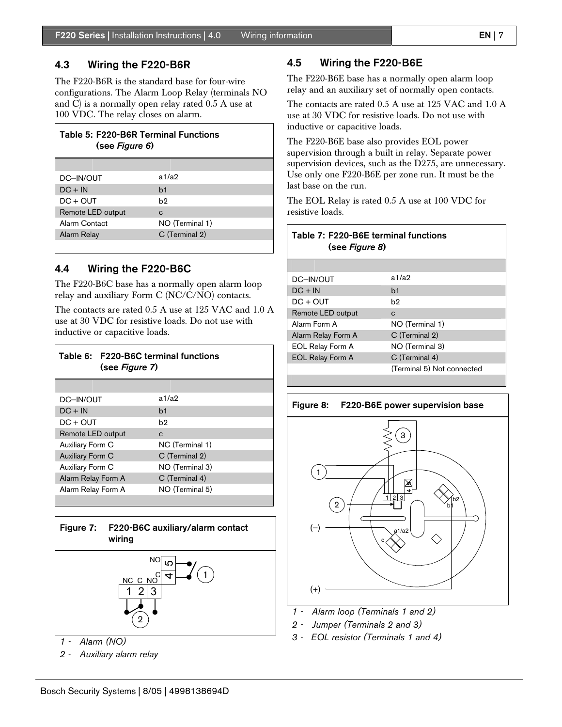#### 4.3 Wiring the F220-B6R

The F220-B6R is the standard base for four-wire configurations. The Alarm Loop Relay (terminals NO and C) is a normally open relay rated 0.5 A use at 100 VDC. The relay closes on alarm.

| Table 5: F220-B6R Terminal Functions<br>(see Figure 6) |                 |
|--------------------------------------------------------|-----------------|
|                                                        |                 |
| DC-IN/OUT                                              | a1/a2           |
| $DC + IN$                                              | b <sub>1</sub>  |
| $DC + OUT$                                             | h2              |
| Remote LED output                                      | C               |
| Alarm Contact                                          | NO (Terminal 1) |
| Alarm Relay                                            | C (Terminal 2)  |
|                                                        |                 |

### 4.4 Wiring the F220-B6C

The F220-B6C base has a normally open alarm loop relay and auxiliary Form C (NC/C/NO) contacts.

The contacts are rated 0.5 A use at 125 VAC and 1.0 A use at 30 VDC for resistive loads. Do not use with inductive or capacitive loads.

| Table 6: F220-B6C terminal functions<br>(see Figure 7) |                 |
|--------------------------------------------------------|-----------------|
|                                                        |                 |
| DC-IN/OUT                                              | a1/a2           |
| $DC + IN$                                              | b1              |
| $DC + OUT$                                             | b2              |
| Remote LED output                                      | C               |
| Auxiliary Form C                                       | NC (Terminal 1) |
| Auxiliary Form C                                       | C (Terminal 2)  |
| Auxiliary Form C                                       | NO (Terminal 3) |
| Alarm Relay Form A                                     | C (Terminal 4)  |
| Alarm Relay Form A                                     | NO (Terminal 5) |
|                                                        |                 |



*1 - Alarm (NO)* 

*2 - Auxiliary alarm relay* 

### 4.5 Wiring the F220-B6E

The F220-B6E base has a normally open alarm loop relay and an auxiliary set of normally open contacts.

The contacts are rated 0.5 A use at 125 VAC and 1.0 A use at 30 VDC for resistive loads. Do not use with inductive or capacitive loads.

The F220-B6E base also provides EOL power supervision through a built in relay. Separate power supervision devices, such as the D275, are unnecessary. Use only one F220-B6E per zone run. It must be the last base on the run.

The EOL Relay is rated 0.5 A use at 100 VDC for resistive loads.

| Table 7: F220-B6E terminal functions<br>(see Figure 8) |                            |
|--------------------------------------------------------|----------------------------|
|                                                        |                            |
| DC-IN/OUT                                              | a1/a2                      |
| $DC + IN$                                              | h1                         |
| $DC + OUT$                                             | b2                         |
| Remote LED output                                      | C                          |
| Alarm Form A                                           | NO (Terminal 1)            |
| Alarm Relay Form A                                     | C (Terminal 2)             |
| <b>EOL Relay Form A</b>                                | NO (Terminal 3)            |
| <b>EOL Relay Form A</b>                                | C (Terminal 4)             |
|                                                        | (Terminal 5) Not connected |
|                                                        |                            |





- *1 Alarm loop (Terminals 1 and 2)*
- *2 Jumper (Terminals 2 and 3)*
- *3 EOL resistor (Terminals 1 and 4)*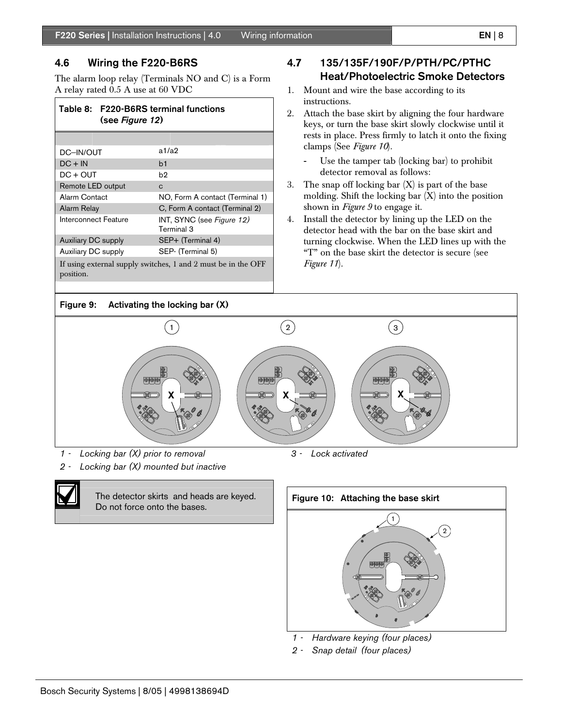#### 4.6 Wiring the F220-B6RS

The alarm loop relay (Terminals NO and C) is a Form A relay rated 0.5 A use at 60 VDC

### Table 8: F220-B6RS terminal functions (see *Figure 12*)

| DC-IN/OUT            | a1/a2                                   |
|----------------------|-----------------------------------------|
| $DC + IN$            | b <sub>1</sub>                          |
| $DC + OUT$           | b2                                      |
| Remote LED output    | C                                       |
| Alarm Contact        | NO, Form A contact (Terminal 1)         |
| Alarm Relay          | C, Form A contact (Terminal 2)          |
| Interconnect Feature | INT, SYNC (see Figure 12)<br>Terminal 3 |
| Auxiliary DC supply  | SEP+ (Terminal 4)                       |
| Auxiliary DC supply  | SEP- (Terminal 5)                       |
|                      |                                         |

If using external supply switches, 1 and 2 must be in the OFF position.

## 4.7 135/135F/190F/P/PTH/PC/PTHC Heat/Photoelectric Smoke Detectors

- 1. Mount and wire the base according to its instructions.
- 2. Attach the base skirt by aligning the four hardware keys, or turn the base skirt slowly clockwise until it rests in place. Press firmly to latch it onto the fixing clamps (See *Figure 10*).
	- Use the tamper tab (locking bar) to prohibit detector removal as follows:
- 3. The snap off locking bar  $(X)$  is part of the base molding. Shift the locking bar (X) into the position shown in *Figure 9* to engage it.
- 4. Install the detector by lining up the LED on the detector head with the bar on the base skirt and turning clockwise. When the LED lines up with the "T" on the base skirt the detector is secure (see *Figure 11*).



- *1 Locking bar (X) prior to removal*
- *2 Locking bar (X) mounted but inactive*



The detector skirts and heads are keyed. Do not force onto the bases.



- *1 Hardware keying (four places)*
- *2 Snap detail (four places)*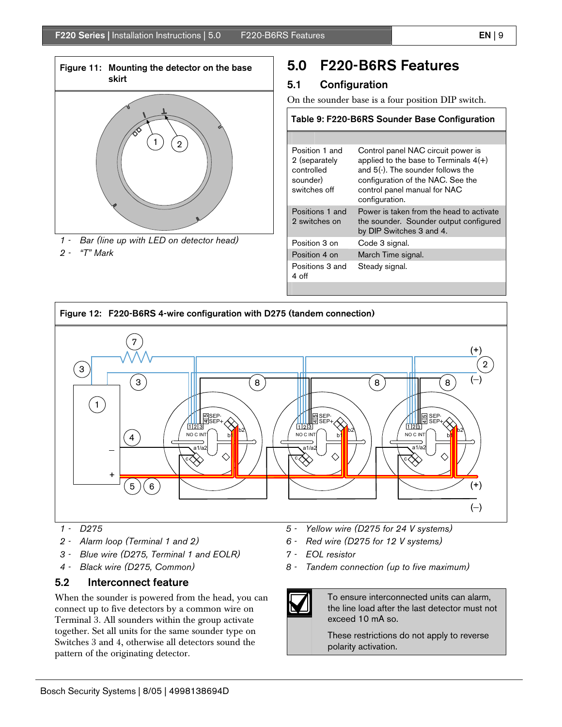

*1 - Bar (line up with LED on detector head)* 

### *2 - "T" Mark*

## 5.0 F220-B6RS Features

## 5.1 Configuration

Positions 3 and

4 off

On the sounder base is a four position DIP switch.

| Table 9: F220-B6RS Sounder Base Configuration                             |                                                                                                                                                                                                           |
|---------------------------------------------------------------------------|-----------------------------------------------------------------------------------------------------------------------------------------------------------------------------------------------------------|
|                                                                           |                                                                                                                                                                                                           |
| Position 1 and<br>2 (separately<br>controlled<br>sounder)<br>switches off | Control panel NAC circuit power is<br>applied to the base to Terminals $4(+)$<br>and 5(-). The sounder follows the<br>configuration of the NAC. See the<br>control panel manual for NAC<br>configuration. |
| Positions 1 and<br>2 switches on                                          | Power is taken from the head to activate<br>the sounder. Sounder output configured<br>by DIP Switches 3 and 4.                                                                                            |
| Position 3 on                                                             | Code 3 signal.                                                                                                                                                                                            |
| Position 4 on                                                             | March Time signal.                                                                                                                                                                                        |

Steady signal.



- *1 D275*
- *2 Alarm loop (Terminal 1 and 2)*
- *3 Blue wire (D275, Terminal 1 and EOLR)*
- *4 Black wire (D275, Common)*

### 5.2 Interconnect feature

When the sounder is powered from the head, you can connect up to five detectors by a common wire on Terminal 3. All sounders within the group activate together. Set all units for the same sounder type on Switches 3 and 4, otherwise all detectors sound the pattern of the originating detector.

- *5 Yellow wire (D275 for 24 V systems)*
- *6 Red wire (D275 for 12 V systems)*
- *7 EOL resistor*
- *8 Tandem connection (up to five maximum)*

To ensure interconnected units can alarm, the line load after the last detector must not exceed 10 mA so.

These restrictions do not apply to reverse polarity activation.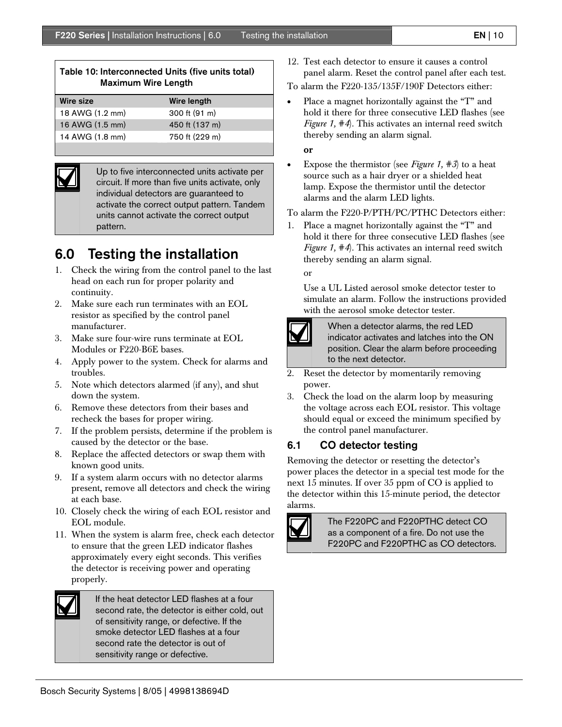| Table 10: Interconnected Units (five units total)<br><b>Maximum Wire Length</b> |                |
|---------------------------------------------------------------------------------|----------------|
| Wire size                                                                       | Wire length    |
| 18 AWG (1.2 mm)                                                                 | 300 ft (91 m)  |
| 16 AWG (1.5 mm)                                                                 | 450 ft (137 m) |
| 14 AWG (1.8 mm)                                                                 | 750 ft (229 m) |



Up to five interconnected units activate per circuit. If more than five units activate, only individual detectors are guaranteed to activate the correct output pattern. Tandem units cannot activate the correct output pattern.

## 6.0 Testing the installation

- 1. Check the wiring from the control panel to the last head on each run for proper polarity and continuity.
- 2. Make sure each run terminates with an EOL resistor as specified by the control panel manufacturer.
- 3. Make sure four-wire runs terminate at EOL Modules or F220-B6E bases.
- 4. Apply power to the system. Check for alarms and troubles.
- 5. Note which detectors alarmed (if any), and shut down the system.
- 6. Remove these detectors from their bases and recheck the bases for proper wiring.
- 7. If the problem persists, determine if the problem is caused by the detector or the base.
- 8. Replace the affected detectors or swap them with known good units.
- 9. If a system alarm occurs with no detector alarms present, remove all detectors and check the wiring at each base.
- 10. Closely check the wiring of each EOL resistor and EOL module.
- 11. When the system is alarm free, check each detector to ensure that the green LED indicator flashes approximately every eight seconds. This verifies the detector is receiving power and operating properly.



If the heat detector LED flashes at a four second rate, the detector is either cold, out of sensitivity range, or defective. If the smoke detector LED flashes at a four second rate the detector is out of sensitivity range or defective.

12. Test each detector to ensure it causes a control panel alarm. Reset the control panel after each test.

To alarm the F220-135/135F/190F Detectors either:

Place a magnet horizontally against the "T" and hold it there for three consecutive LED flashes (see *Figure 1, #4*). This activates an internal reed switch thereby sending an alarm signal.

#### or

• Expose the thermistor (see *Figure 1, #3*) to a heat source such as a hair dryer or a shielded heat lamp. Expose the thermistor until the detector alarms and the alarm LED lights.

To alarm the F220-P/PTH/PC/PTHC Detectors either:

1. Place a magnet horizontally against the "T" and hold it there for three consecutive LED flashes (see *Figure 1, #4*). This activates an internal reed switch thereby sending an alarm signal.

or

Use a UL Listed aerosol smoke detector tester to simulate an alarm. Follow the instructions provided with the aerosol smoke detector tester.



When a detector alarms, the red LED indicator activates and latches into the ON position. Clear the alarm before proceeding to the next detector.

- 2. Reset the detector by momentarily removing power.
- 3. Check the load on the alarm loop by measuring the voltage across each EOL resistor. This voltage should equal or exceed the minimum specified by the control panel manufacturer.

## 6.1 CO detector testing

Removing the detector or resetting the detector's power places the detector in a special test mode for the next 15 minutes. If over 35 ppm of CO is applied to the detector within this 15-minute period, the detector alarms.



The F220PC and F220PTHC detect CO as a component of a fire. Do not use the F220PC and F220PTHC as CO detectors.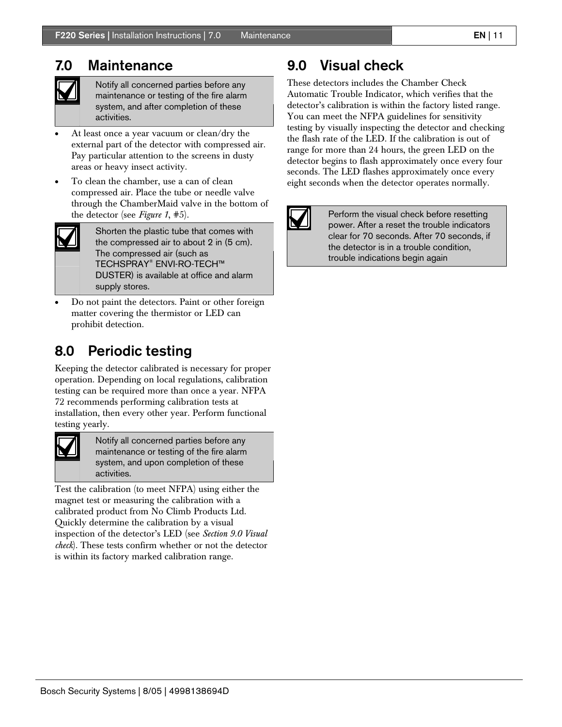## 7.0 Maintenance



Notify all concerned parties before any maintenance or testing of the fire alarm system, and after completion of these activities.

- At least once a year vacuum or clean/dry the external part of the detector with compressed air. Pay particular attention to the screens in dusty areas or heavy insect activity.
- To clean the chamber, use a can of clean compressed air. Place the tube or needle valve through the ChamberMaid valve in the bottom of the detector (see *Figure 1*, #5).

Shorten the plastic tube that comes with the compressed air to about 2 in (5 cm). The compressed air (such as TECHSPRAY® ENVI-RO-TECH™ DUSTER) is available at office and alarm supply stores.

• Do not paint the detectors. Paint or other foreign matter covering the thermistor or LED can prohibit detection.

## 8.0 Periodic testing

Keeping the detector calibrated is necessary for proper operation. Depending on local regulations, calibration testing can be required more than once a year. NFPA 72 recommends performing calibration tests at installation, then every other year. Perform functional testing yearly.



Notify all concerned parties before any maintenance or testing of the fire alarm system, and upon completion of these activities.

Test the calibration (to meet NFPA) using either the magnet test or measuring the calibration with a calibrated product from No Climb Products Ltd. Quickly determine the calibration by a visual inspection of the detector's LED (see *Section 9.0 Visual check*). These tests confirm whether or not the detector is within its factory marked calibration range.

## 9.0 Visual check

These detectors includes the Chamber Check Automatic Trouble Indicator, which verifies that the detector's calibration is within the factory listed range. You can meet the NFPA guidelines for sensitivity testing by visually inspecting the detector and checking the flash rate of the LED. If the calibration is out of range for more than 24 hours, the green LED on the detector begins to flash approximately once every four seconds. The LED flashes approximately once every eight seconds when the detector operates normally.



Perform the visual check before resetting power. After a reset the trouble indicators clear for 70 seconds. After 70 seconds, if the detector is in a trouble condition, trouble indications begin again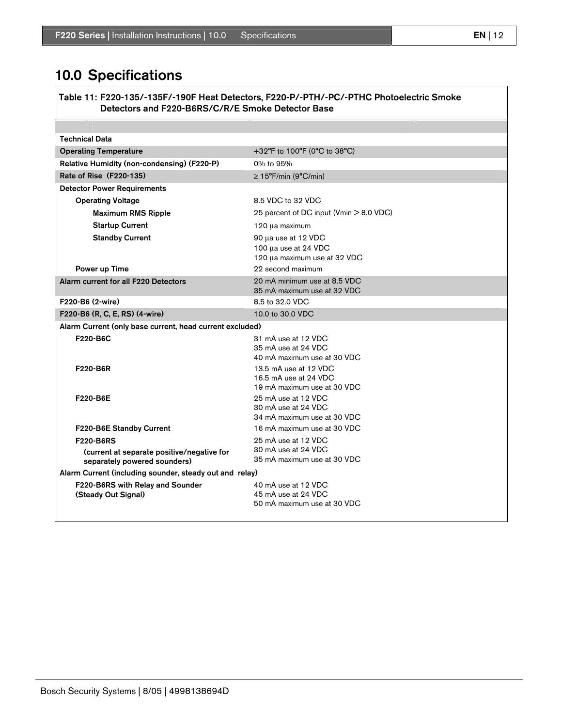## 10.0 Specifications

Table 11: F220-135/-135F/-190F Heat Detectors, F220-P/-PTH/-PC/-PTHC Photoelectric Smoke Detectors and F220-B6RS/C/R/E Smoke Detector Base

| <b>Technical Data</b>                                                      |                                                                               |
|----------------------------------------------------------------------------|-------------------------------------------------------------------------------|
| <b>Operating Temperature</b>                                               | +32°F to 100°F (0°C to 38°C)                                                  |
| Relative Humidity (non-condensing) (F220-P)                                | 0% to 95%                                                                     |
| Rate of Rise (F220-135)                                                    | $\geq$ 15°F/min (9°C/min)                                                     |
| <b>Detector Power Requirements</b>                                         |                                                                               |
| <b>Operating Voltage</b>                                                   | 8.5 VDC to 32 VDC                                                             |
| <b>Maximum RMS Ripple</b>                                                  | 25 percent of DC input (Vmin > 8.0 VDC)                                       |
| <b>Startup Current</b>                                                     | 120 µa maximum                                                                |
| <b>Standby Current</b>                                                     | 90 µa use at 12 VDC<br>100 µa use at 24 VDC<br>120 µa maximum use at 32 VDC   |
| Power up Time                                                              | 22 second maximum                                                             |
| Alarm current for all F220 Detectors                                       | 20 mA minimum use at 8.5 VDC<br>35 mA maximum use at 32 VDC                   |
| F220-B6 (2-wire)                                                           | 8.5 to 32.0 VDC                                                               |
| F220-B6 (R, C, E, RS) (4-wire)                                             | 10.0 to 30.0 VDC                                                              |
| Alarm Current (only base current, head current excluded)                   |                                                                               |
| F220-B6C                                                                   | 31 mA use at 12 VDC<br>35 mA use at 24 VDC<br>40 mA maximum use at 30 VDC     |
| F220-B6R                                                                   | 13.5 mA use at 12 VDC<br>16.5 mA use at 24 VDC<br>19 mA maximum use at 30 VDC |
| F220-B6E                                                                   | 25 mA use at 12 VDC<br>30 mA use at 24 VDC<br>34 mA maximum use at 30 VDC     |
| F220-B6E Standby Current                                                   | 16 mA maximum use at 30 VDC                                                   |
| <b>F220-B6RS</b>                                                           | 25 mA use at 12 VDC                                                           |
| (current at separate positive/negative for<br>separately powered sounders) | 30 mA use at 24 VDC<br>35 mA maximum use at 30 VDC                            |
| Alarm Current (including sounder, steady out and relay)                    |                                                                               |
| F220-B6RS with Relay and Sounder<br>(Steady Out Signal)                    | 40 mA use at 12 VDC<br>45 mA use at 24 VDC<br>50 mA maximum use at 30 VDC     |